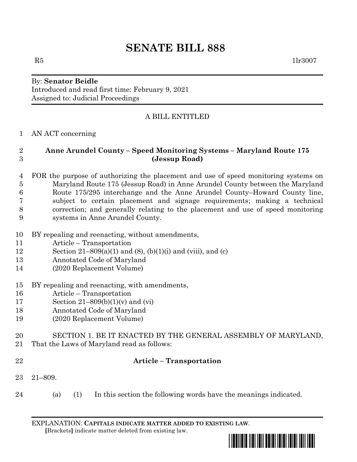# **SENATE BILL 888**

# By: **Senator Beidle** Introduced and read first time: February 9, 2021 Assigned to: Judicial Proceedings

# A BILL ENTITLED

### AN ACT concerning

### **Anne Arundel County – Speed Monitoring Systems – Maryland Route 175 (Jessup Road)**

- FOR the purpose of authorizing the placement and use of speed monitoring systems on Maryland Route 175 (Jessup Road) in Anne Arundel County between the Maryland Route 175/295 interchange and the Anne Arundel County–Howard County line, subject to certain placement and signage requirements; making a technical correction; and generally relating to the placement and use of speed monitoring systems in Anne Arundel County.
- BY repealing and reenacting, without amendments,
- Article Transportation
- 12 Section 21–809(a)(1) and (8), (b)(1)(i) and (viii), and (c)
- Annotated Code of Maryland
- (2020 Replacement Volume)
- BY repealing and reenacting, with amendments,
- Article Transportation
- Section 21–809(b)(1)(v) and (vi)
- Annotated Code of Maryland
- (2020 Replacement Volume)

### SECTION 1. BE IT ENACTED BY THE GENERAL ASSEMBLY OF MARYLAND, That the Laws of Maryland read as follows:

# **Article – Transportation**

- 21–809.
- (a) (1) In this section the following words have the meanings indicated.

EXPLANATION: **CAPITALS INDICATE MATTER ADDED TO EXISTING LAW**.  **[**Brackets**]** indicate matter deleted from existing law.



 $R5$  1lr3007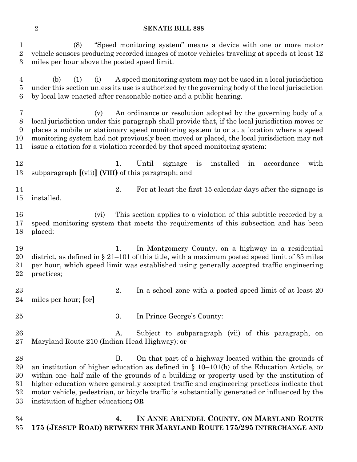#### **SENATE BILL 888**

 (8) "Speed monitoring system" means a device with one or more motor vehicle sensors producing recorded images of motor vehicles traveling at speeds at least 12 miles per hour above the posted speed limit.

 (b) (1) (i) A speed monitoring system may not be used in a local jurisdiction under this section unless its use is authorized by the governing body of the local jurisdiction by local law enacted after reasonable notice and a public hearing.

 (v) An ordinance or resolution adopted by the governing body of a local jurisdiction under this paragraph shall provide that, if the local jurisdiction moves or places a mobile or stationary speed monitoring system to or at a location where a speed monitoring system had not previously been moved or placed, the local jurisdiction may not issue a citation for a violation recorded by that speed monitoring system:

12 1. Until signage is installed in accordance with subparagraph **[**(vii)**] (VIII)** of this paragraph; and

14 2. For at least the first 15 calendar days after the signage is installed.

 (vi) This section applies to a violation of this subtitle recorded by a speed monitoring system that meets the requirements of this subsection and has been placed:

 1. In Montgomery County, on a highway in a residential district, as defined in § 21–101 of this title, with a maximum posted speed limit of 35 miles per hour, which speed limit was established using generally accepted traffic engineering practices;

- 23 23 2. In a school zone with a posted speed limit of at least 20 miles per hour; **[**or**]**
- 3. In Prince George's County:
- A. Subject to subparagraph (vii) of this paragraph, on Maryland Route 210 (Indian Head Highway); or

28 B. On that part of a highway located within the grounds of an institution of higher education as defined in § 10–101(h) of the Education Article, or within one–half mile of the grounds of a building or property used by the institution of higher education where generally accepted traffic and engineering practices indicate that motor vehicle, pedestrian, or bicycle traffic is substantially generated or influenced by the institution of higher education**; OR**

 **4. IN ANNE ARUNDEL COUNTY, ON MARYLAND ROUTE 175 (JESSUP ROAD) BETWEEN THE MARYLAND ROUTE 175/295 INTERCHANGE AND**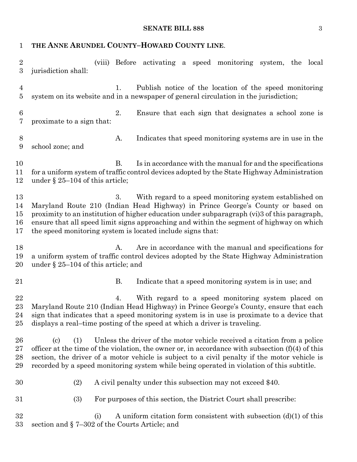# **SENATE BILL 888** 3

| 1                                | THE ANNE ARUNDEL COUNTY-HOWARD COUNTY LINE.                                                                                                                                                                                                                                                                                                                                                                    |
|----------------------------------|----------------------------------------------------------------------------------------------------------------------------------------------------------------------------------------------------------------------------------------------------------------------------------------------------------------------------------------------------------------------------------------------------------------|
| $\sqrt{2}$<br>3                  | (viii) Before activating a speed monitoring system, the local<br>jurisdiction shall:                                                                                                                                                                                                                                                                                                                           |
| $\overline{4}$<br>$\overline{5}$ | Publish notice of the location of the speed monitoring<br>1.<br>system on its website and in a newspaper of general circulation in the jurisdiction;                                                                                                                                                                                                                                                           |
| $\boldsymbol{6}$<br>7            | 2.<br>Ensure that each sign that designates a school zone is<br>proximate to a sign that:                                                                                                                                                                                                                                                                                                                      |
| $8\,$<br>$9\phantom{.}$          | Indicates that speed monitoring systems are in use in the<br>A.<br>school zone; and                                                                                                                                                                                                                                                                                                                            |
| 10<br>11<br>12                   | <b>B.</b><br>Is in accordance with the manual for and the specifications<br>for a uniform system of traffic control devices adopted by the State Highway Administration<br>under $\S 25-104$ of this article;                                                                                                                                                                                                  |
| 13<br>14<br>15<br>16<br>17       | With regard to a speed monitoring system established on<br>3.<br>Maryland Route 210 (Indian Head Highway) in Prince George's County or based on<br>proximity to an institution of higher education under subparagraph (vi)3 of this paragraph,<br>ensure that all speed limit signs approaching and within the segment of highway on which<br>the speed monitoring system is located include signs that:       |
| 18<br>19<br>20                   | Are in accordance with the manual and specifications for<br>A.<br>a uniform system of traffic control devices adopted by the State Highway Administration<br>under $\S 25-104$ of this article; and                                                                                                                                                                                                            |
| 21                               | <b>B.</b><br>Indicate that a speed monitoring system is in use; and                                                                                                                                                                                                                                                                                                                                            |
| 22<br>23<br>24<br>25             | With regard to a speed monitoring system placed on<br>4.<br>Maryland Route 210 (Indian Head Highway) in Prince George's County, ensure that each<br>sign that indicates that a speed monitoring system is in use is proximate to a device that<br>displays a real-time posting of the speed at which a driver is traveling.                                                                                    |
| 26<br>27<br>28<br>29             | Unless the driver of the motor vehicle received a citation from a police<br>$\left( \text{c}\right)$<br>(1)<br>officer at the time of the violation, the owner or, in accordance with subsection $(f)(4)$ of this<br>section, the driver of a motor vehicle is subject to a civil penalty if the motor vehicle is<br>recorded by a speed monitoring system while being operated in violation of this subtitle. |
| 30                               | A civil penalty under this subsection may not exceed \$40.<br>(2)                                                                                                                                                                                                                                                                                                                                              |
| 31                               | (3)<br>For purposes of this section, the District Court shall prescribe:                                                                                                                                                                                                                                                                                                                                       |
| 32<br>33                         | A uniform citation form consistent with subsection $(d)(1)$ of this<br>(i)<br>section and § 7-302 of the Courts Article; and                                                                                                                                                                                                                                                                                   |